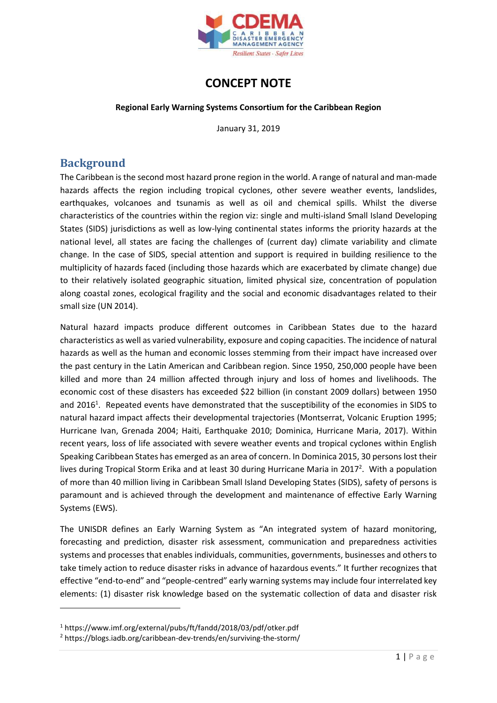

# **CONCEPT NOTE**

#### **Regional Early Warning Systems Consortium for the Caribbean Region**

January 31, 2019

### **Background**

The Caribbean is the second most hazard prone region in the world. A range of natural and man-made hazards affects the region including tropical cyclones, other severe weather events, landslides, earthquakes, volcanoes and tsunamis as well as oil and chemical spills. Whilst the diverse characteristics of the countries within the region viz: single and multi-island Small Island Developing States (SIDS) jurisdictions as well as low-lying continental states informs the priority hazards at the national level, all states are facing the challenges of (current day) climate variability and climate change. In the case of SIDS, special attention and support is required in building resilience to the multiplicity of hazards faced (including those hazards which are exacerbated by climate change) due to their relatively isolated geographic situation, limited physical size, concentration of population along coastal zones, ecological fragility and the social and economic disadvantages related to their small size (UN 2014).

Natural hazard impacts produce different outcomes in Caribbean States due to the hazard characteristics as well as varied vulnerability, exposure and coping capacities. The incidence of natural hazards as well as the human and economic losses stemming from their impact have increased over the past century in the Latin American and Caribbean region. Since 1950, 250,000 people have been killed and more than 24 million affected through injury and loss of homes and livelihoods. The economic cost of these disasters has exceeded \$22 billion (in constant 2009 dollars) between 1950 and 2016<sup>1</sup>. Repeated events have demonstrated that the susceptibility of the economies in SIDS to natural hazard impact affects their developmental trajectories (Montserrat, Volcanic Eruption 1995; Hurricane Ivan, Grenada 2004; Haiti, Earthquake 2010; Dominica, Hurricane Maria, 2017). Within recent years, loss of life associated with severe weather events and tropical cyclones within English Speaking Caribbean States has emerged as an area of concern. In Dominica 2015, 30 persons lost their lives during Tropical Storm Erika and at least 30 during Hurricane Maria in 2017<sup>2</sup>. With a population of more than 40 million living in Caribbean Small Island Developing States (SIDS), safety of persons is paramount and is achieved through the development and maintenance of effective Early Warning Systems (EWS).

The UNISDR defines an Early Warning System as "An integrated system of hazard monitoring, forecasting and prediction, disaster risk assessment, communication and preparedness activities systems and processes that enables individuals, communities, governments, businesses and others to take timely action to reduce disaster risks in advance of hazardous events." It further recognizes that effective "end-to-end" and "people-centred" early warning systems may include four interrelated key elements: (1) disaster risk knowledge based on the systematic collection of data and disaster risk

<sup>1</sup> https://www.imf.org/external/pubs/ft/fandd/2018/03/pdf/otker.pdf

<sup>2</sup> https://blogs.iadb.org/caribbean-dev-trends/en/surviving-the-storm/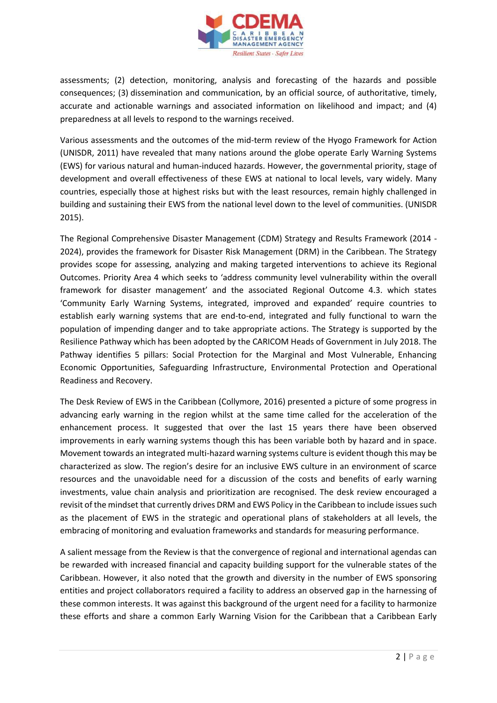

assessments; (2) detection, monitoring, analysis and forecasting of the hazards and possible consequences; (3) dissemination and communication, by an official source, of authoritative, timely, accurate and actionable warnings and associated information on likelihood and impact; and (4) preparedness at all levels to respond to the warnings received.

Various assessments and the outcomes of the mid-term review of the Hyogo Framework for Action (UNISDR, 2011) have revealed that many nations around the globe operate Early Warning Systems (EWS) for various natural and human-induced hazards. However, the governmental priority, stage of development and overall effectiveness of these EWS at national to local levels, vary widely. Many countries, especially those at highest risks but with the least resources, remain highly challenged in building and sustaining their EWS from the national level down to the level of communities. (UNISDR 2015).

The Regional Comprehensive Disaster Management (CDM) Strategy and Results Framework (2014 - 2024), provides the framework for Disaster Risk Management (DRM) in the Caribbean. The Strategy provides scope for assessing, analyzing and making targeted interventions to achieve its Regional Outcomes. Priority Area 4 which seeks to 'address community level vulnerability within the overall framework for disaster management' and the associated Regional Outcome 4.3. which states 'Community Early Warning Systems, integrated, improved and expanded' require countries to establish early warning systems that are end-to-end, integrated and fully functional to warn the population of impending danger and to take appropriate actions. The Strategy is supported by the Resilience Pathway which has been adopted by the CARICOM Heads of Government in July 2018. The Pathway identifies 5 pillars: Social Protection for the Marginal and Most Vulnerable, Enhancing Economic Opportunities, Safeguarding Infrastructure, Environmental Protection and Operational Readiness and Recovery.

The Desk Review of EWS in the Caribbean (Collymore, 2016) presented a picture of some progress in advancing early warning in the region whilst at the same time called for the acceleration of the enhancement process. It suggested that over the last 15 years there have been observed improvements in early warning systems though this has been variable both by hazard and in space. Movement towards an integrated multi-hazard warning systems culture is evident though this may be characterized as slow. The region's desire for an inclusive EWS culture in an environment of scarce resources and the unavoidable need for a discussion of the costs and benefits of early warning investments, value chain analysis and prioritization are recognised. The desk review encouraged a revisit of the mindset that currently drives DRM and EWS Policy in the Caribbean to include issues such as the placement of EWS in the strategic and operational plans of stakeholders at all levels, the embracing of monitoring and evaluation frameworks and standards for measuring performance.

A salient message from the Review is that the convergence of regional and international agendas can be rewarded with increased financial and capacity building support for the vulnerable states of the Caribbean. However, it also noted that the growth and diversity in the number of EWS sponsoring entities and project collaborators required a facility to address an observed gap in the harnessing of these common interests. It was against this background of the urgent need for a facility to harmonize these efforts and share a common Early Warning Vision for the Caribbean that a Caribbean Early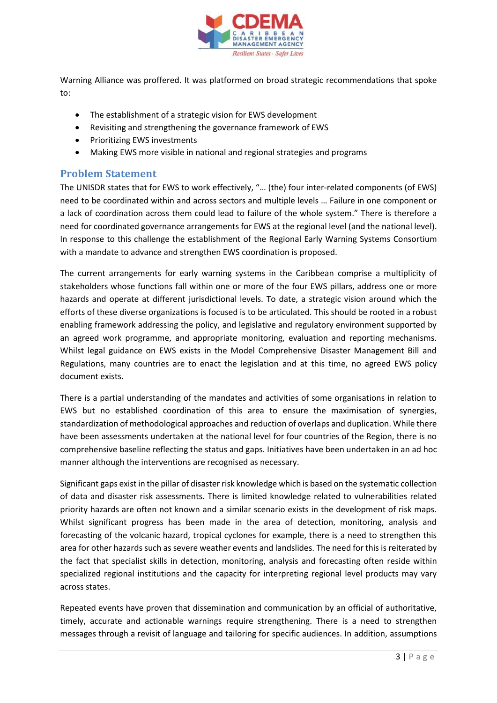

Warning Alliance was proffered. It was platformed on broad strategic recommendations that spoke to:

- The establishment of a strategic vision for EWS development
- Revisiting and strengthening the governance framework of EWS
- Prioritizing EWS investments
- Making EWS more visible in national and regional strategies and programs

### **Problem Statement**

The UNISDR states that for EWS to work effectively, "… (the) four inter-related components (of EWS) need to be coordinated within and across sectors and multiple levels … Failure in one component or a lack of coordination across them could lead to failure of the whole system." There is therefore a need for coordinated governance arrangements for EWS at the regional level (and the national level). In response to this challenge the establishment of the Regional Early Warning Systems Consortium with a mandate to advance and strengthen EWS coordination is proposed.

The current arrangements for early warning systems in the Caribbean comprise a multiplicity of stakeholders whose functions fall within one or more of the four EWS pillars, address one or more hazards and operate at different jurisdictional levels. To date, a strategic vision around which the efforts of these diverse organizations is focused is to be articulated. This should be rooted in a robust enabling framework addressing the policy, and legislative and regulatory environment supported by an agreed work programme, and appropriate monitoring, evaluation and reporting mechanisms. Whilst legal guidance on EWS exists in the Model Comprehensive Disaster Management Bill and Regulations, many countries are to enact the legislation and at this time, no agreed EWS policy document exists.

There is a partial understanding of the mandates and activities of some organisations in relation to EWS but no established coordination of this area to ensure the maximisation of synergies, standardization of methodological approaches and reduction of overlaps and duplication. While there have been assessments undertaken at the national level for four countries of the Region, there is no comprehensive baseline reflecting the status and gaps. Initiatives have been undertaken in an ad hoc manner although the interventions are recognised as necessary.

Significant gaps exist in the pillar of disaster risk knowledge which is based on the systematic collection of data and disaster risk assessments. There is limited knowledge related to vulnerabilities related priority hazards are often not known and a similar scenario exists in the development of risk maps. Whilst significant progress has been made in the area of detection, monitoring, analysis and forecasting of the volcanic hazard, tropical cyclones for example, there is a need to strengthen this area for other hazards such as severe weather events and landslides. The need for this is reiterated by the fact that specialist skills in detection, monitoring, analysis and forecasting often reside within specialized regional institutions and the capacity for interpreting regional level products may vary across states.

Repeated events have proven that dissemination and communication by an official of authoritative, timely, accurate and actionable warnings require strengthening. There is a need to strengthen messages through a revisit of language and tailoring for specific audiences. In addition, assumptions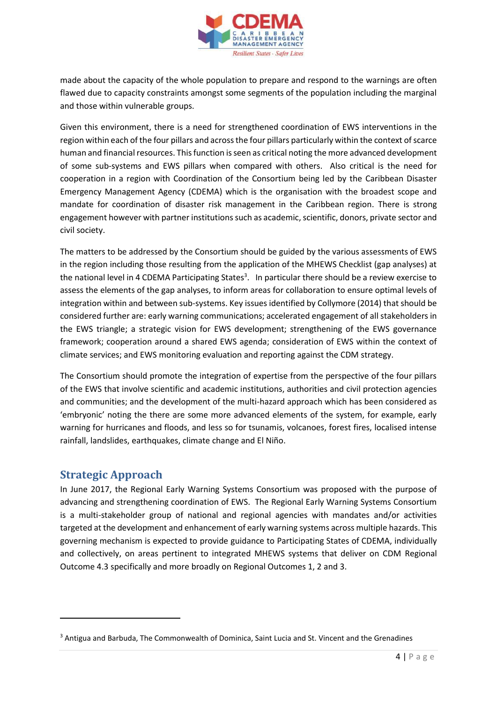

made about the capacity of the whole population to prepare and respond to the warnings are often flawed due to capacity constraints amongst some segments of the population including the marginal and those within vulnerable groups.

Given this environment, there is a need for strengthened coordination of EWS interventions in the region within each of the four pillars and across the four pillars particularly within the context of scarce human and financial resources. This function is seen as critical noting the more advanced development of some sub-systems and EWS pillars when compared with others. Also critical is the need for cooperation in a region with Coordination of the Consortium being led by the Caribbean Disaster Emergency Management Agency (CDEMA) which is the organisation with the broadest scope and mandate for coordination of disaster risk management in the Caribbean region. There is strong engagement however with partner institutionssuch as academic, scientific, donors, private sector and civil society.

The matters to be addressed by the Consortium should be guided by the various assessments of EWS in the region including those resulting from the application of the MHEWS Checklist (gap analyses) at the national level in 4 CDEMA Participating States<sup>3</sup>. In particular there should be a review exercise to assess the elements of the gap analyses, to inform areas for collaboration to ensure optimal levels of integration within and between sub-systems. Key issues identified by Collymore (2014) that should be considered further are: early warning communications; accelerated engagement of all stakeholders in the EWS triangle; a strategic vision for EWS development; strengthening of the EWS governance framework; cooperation around a shared EWS agenda; consideration of EWS within the context of climate services; and EWS monitoring evaluation and reporting against the CDM strategy.

The Consortium should promote the integration of expertise from the perspective of the four pillars of the EWS that involve scientific and academic institutions, authorities and civil protection agencies and communities; and the development of the multi-hazard approach which has been considered as 'embryonic' noting the there are some more advanced elements of the system, for example, early warning for hurricanes and floods, and less so for tsunamis, volcanoes, forest fires, localised intense rainfall, landslides, earthquakes, climate change and El Niño.

### **Strategic Approach**

In June 2017, the Regional Early Warning Systems Consortium was proposed with the purpose of advancing and strengthening coordination of EWS. The Regional Early Warning Systems Consortium is a multi-stakeholder group of national and regional agencies with mandates and/or activities targeted at the development and enhancement of early warning systems across multiple hazards. This governing mechanism is expected to provide guidance to Participating States of CDEMA, individually and collectively, on areas pertinent to integrated MHEWS systems that deliver on CDM Regional Outcome 4.3 specifically and more broadly on Regional Outcomes 1, 2 and 3.

<sup>&</sup>lt;sup>3</sup> Antigua and Barbuda, The Commonwealth of Dominica, Saint Lucia and St. Vincent and the Grenadines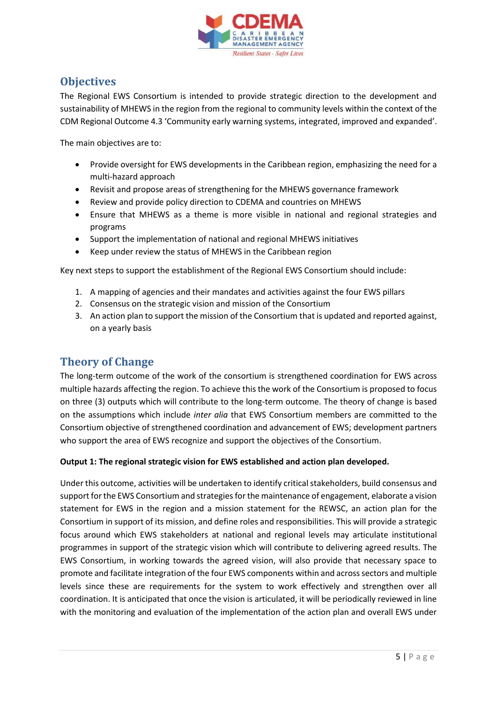

### **Objectives**

The Regional EWS Consortium is intended to provide strategic direction to the development and sustainability of MHEWS in the region from the regional to community levels within the context of the CDM Regional Outcome 4.3 'Community early warning systems, integrated, improved and expanded'.

The main objectives are to:

- Provide oversight for EWS developments in the Caribbean region, emphasizing the need for a multi-hazard approach
- Revisit and propose areas of strengthening for the MHEWS governance framework
- Review and provide policy direction to CDEMA and countries on MHEWS
- Ensure that MHEWS as a theme is more visible in national and regional strategies and programs
- Support the implementation of national and regional MHEWS initiatives
- Keep under review the status of MHEWS in the Caribbean region

Key next steps to support the establishment of the Regional EWS Consortium should include:

- 1. A mapping of agencies and their mandates and activities against the four EWS pillars
- 2. Consensus on the strategic vision and mission of the Consortium
- 3. An action plan to support the mission of the Consortium that is updated and reported against, on a yearly basis

# **Theory of Change**

The long-term outcome of the work of the consortium is strengthened coordination for EWS across multiple hazards affecting the region. To achieve this the work of the Consortium is proposed to focus on three (3) outputs which will contribute to the long-term outcome. The theory of change is based on the assumptions which include *inter alia* that EWS Consortium members are committed to the Consortium objective of strengthened coordination and advancement of EWS; development partners who support the area of EWS recognize and support the objectives of the Consortium.

#### **Output 1: The regional strategic vision for EWS established and action plan developed.**

Under this outcome, activities will be undertaken to identify critical stakeholders, build consensus and support for the EWS Consortium and strategies for the maintenance of engagement, elaborate a vision statement for EWS in the region and a mission statement for the REWSC, an action plan for the Consortium in support of its mission, and define roles and responsibilities. This will provide a strategic focus around which EWS stakeholders at national and regional levels may articulate institutional programmes in support of the strategic vision which will contribute to delivering agreed results. The EWS Consortium, in working towards the agreed vision, will also provide that necessary space to promote and facilitate integration of the four EWS components within and across sectors and multiple levels since these are requirements for the system to work effectively and strengthen over all coordination. It is anticipated that once the vision is articulated, it will be periodically reviewed in line with the monitoring and evaluation of the implementation of the action plan and overall EWS under